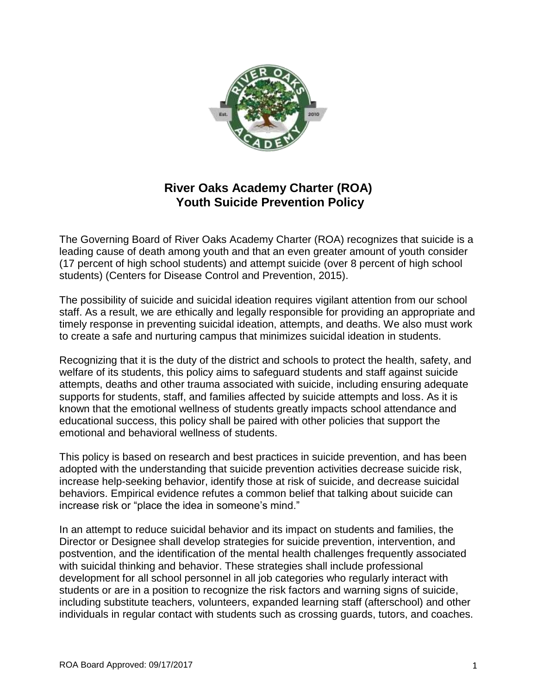

# **River Oaks Academy Charter (ROA) Youth Suicide Prevention Policy**

The Governing Board of River Oaks Academy Charter (ROA) recognizes that suicide is a leading cause of death among youth and that an even greater amount of youth consider (17 percent of high school students) and attempt suicide (over 8 percent of high school students) (Centers for Disease Control and Prevention, 2015).

The possibility of suicide and suicidal ideation requires vigilant attention from our school staff. As a result, we are ethically and legally responsible for providing an appropriate and timely response in preventing suicidal ideation, attempts, and deaths. We also must work to create a safe and nurturing campus that minimizes suicidal ideation in students.

Recognizing that it is the duty of the district and schools to protect the health, safety, and welfare of its students, this policy aims to safeguard students and staff against suicide attempts, deaths and other trauma associated with suicide, including ensuring adequate supports for students, staff, and families affected by suicide attempts and loss. As it is known that the emotional wellness of students greatly impacts school attendance and educational success, this policy shall be paired with other policies that support the emotional and behavioral wellness of students.

This policy is based on research and best practices in suicide prevention, and has been adopted with the understanding that suicide prevention activities decrease suicide risk, increase help-seeking behavior, identify those at risk of suicide, and decrease suicidal behaviors. Empirical evidence refutes a common belief that talking about suicide can increase risk or "place the idea in someone's mind."

In an attempt to reduce suicidal behavior and its impact on students and families, the Director or Designee shall develop strategies for suicide prevention, intervention, and postvention, and the identification of the mental health challenges frequently associated with suicidal thinking and behavior. These strategies shall include professional development for all school personnel in all job categories who regularly interact with students or are in a position to recognize the risk factors and warning signs of suicide, including substitute teachers, volunteers, expanded learning staff (afterschool) and other individuals in regular contact with students such as crossing guards, tutors, and coaches.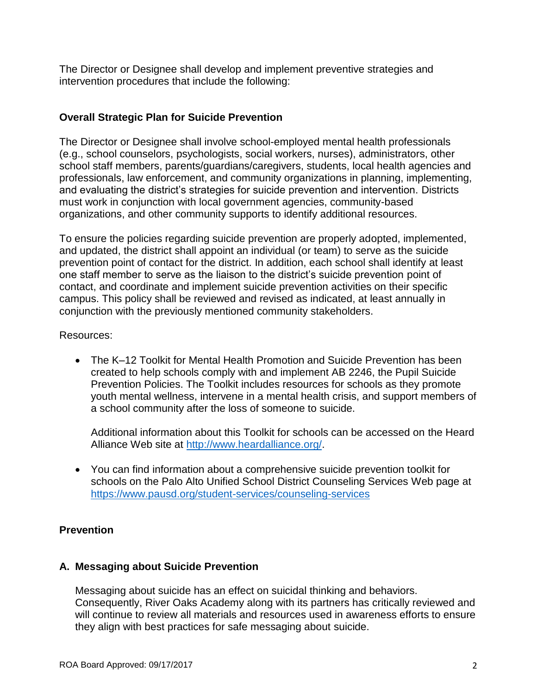The Director or Designee shall develop and implement preventive strategies and intervention procedures that include the following:

### **Overall Strategic Plan for Suicide Prevention**

The Director or Designee shall involve school-employed mental health professionals (e.g., school counselors, psychologists, social workers, nurses), administrators, other school staff members, parents/guardians/caregivers, students, local health agencies and professionals, law enforcement, and community organizations in planning, implementing, and evaluating the district's strategies for suicide prevention and intervention. Districts must work in conjunction with local government agencies, community-based organizations, and other community supports to identify additional resources.

To ensure the policies regarding suicide prevention are properly adopted, implemented, and updated, the district shall appoint an individual (or team) to serve as the suicide prevention point of contact for the district. In addition, each school shall identify at least one staff member to serve as the liaison to the district's suicide prevention point of contact, and coordinate and implement suicide prevention activities on their specific campus. This policy shall be reviewed and revised as indicated, at least annually in conjunction with the previously mentioned community stakeholders.

#### Resources:

 The K–12 Toolkit for Mental Health Promotion and Suicide Prevention has been created to help schools comply with and implement AB 2246, the Pupil Suicide Prevention Policies. The Toolkit includes resources for schools as they promote youth mental wellness, intervene in a mental health crisis, and support members of a school community after the loss of someone to suicide.

Additional information about this Toolkit for schools can be accessed on the Heard Alliance Web site at [http://www.heardalliance.org/.](http://www.heardalliance.org/)

 You can find information about a comprehensive suicide prevention toolkit for schools on the Palo Alto Unified School District Counseling Services Web page at <https://www.pausd.org/student-services/counseling-services>

# **Prevention**

#### **A. Messaging about Suicide Prevention**

Messaging about suicide has an effect on suicidal thinking and behaviors. Consequently, River Oaks Academy along with its partners has critically reviewed and will continue to review all materials and resources used in awareness efforts to ensure they align with best practices for safe messaging about suicide.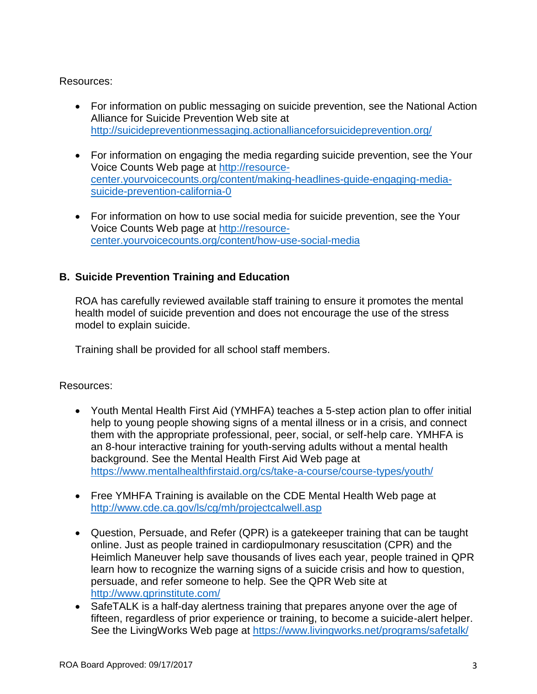# Resources:

- For information on public messaging on suicide prevention, see the National Action Alliance for Suicide Prevention Web site at <http://suicidepreventionmessaging.actionallianceforsuicideprevention.org/>
- For information on engaging the media regarding suicide prevention, see the Your Voice Counts Web page at [http://resource](http://resource-center.yourvoicecounts.org/content/making-headlines-guide-engaging-media-suicide-prevention-california-0)[center.yourvoicecounts.org/content/making-headlines-guide-engaging-media](http://resource-center.yourvoicecounts.org/content/making-headlines-guide-engaging-media-suicide-prevention-california-0)[suicide-prevention-california-0](http://resource-center.yourvoicecounts.org/content/making-headlines-guide-engaging-media-suicide-prevention-california-0)
- For information on how to use social media for suicide prevention, see the Your Voice Counts Web page at [http://resource](http://resource-center.yourvoicecounts.org/content/how-use-social-media)[center.yourvoicecounts.org/content/how-use-social-media](http://resource-center.yourvoicecounts.org/content/how-use-social-media)

# **B. Suicide Prevention Training and Education**

ROA has carefully reviewed available staff training to ensure it promotes the mental health model of suicide prevention and does not encourage the use of the stress model to explain suicide.

Training shall be provided for all school staff members.

# Resources:

- Youth Mental Health First Aid (YMHFA) teaches a 5-step action plan to offer initial help to young people showing signs of a mental illness or in a crisis, and connect them with the appropriate professional, peer, social, or self-help care. YMHFA is an 8-hour interactive training for youth-serving adults without a mental health background. See the Mental Health First Aid Web page at <https://www.mentalhealthfirstaid.org/cs/take-a-course/course-types/youth/>
- Free YMHFA Training is available on the CDE Mental Health Web page at <http://www.cde.ca.gov/ls/cg/mh/projectcalwell.asp>
- Question, Persuade, and Refer (QPR) is a gatekeeper training that can be taught online. Just as people trained in cardiopulmonary resuscitation (CPR) and the Heimlich Maneuver help save thousands of lives each year, people trained in QPR learn how to recognize the warning signs of a suicide crisis and how to question, persuade, and refer someone to help. See the QPR Web site at <http://www.qprinstitute.com/>
- SafeTALK is a half-day alertness training that prepares anyone over the age of fifteen, regardless of prior experience or training, to become a suicide-alert helper. See the LivingWorks Web page at<https://www.livingworks.net/programs/safetalk/>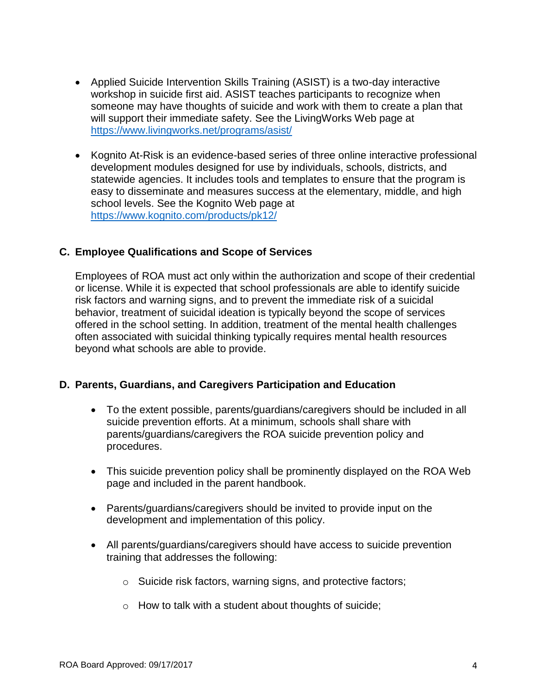- Applied Suicide Intervention Skills Training (ASIST) is a two-day interactive workshop in suicide first aid. ASIST teaches participants to recognize when someone may have thoughts of suicide and work with them to create a plan that will support their immediate safety. See the LivingWorks Web page at <https://www.livingworks.net/programs/asist/>
- Kognito At-Risk is an evidence-based series of three online interactive professional development modules designed for use by individuals, schools, districts, and statewide agencies. It includes tools and templates to ensure that the program is easy to disseminate and measures success at the elementary, middle, and high school levels. See the Kognito Web page at <https://www.kognito.com/products/pk12/>

### **C. Employee Qualifications and Scope of Services**

Employees of ROA must act only within the authorization and scope of their credential or license. While it is expected that school professionals are able to identify suicide risk factors and warning signs, and to prevent the immediate risk of a suicidal behavior, treatment of suicidal ideation is typically beyond the scope of services offered in the school setting. In addition, treatment of the mental health challenges often associated with suicidal thinking typically requires mental health resources beyond what schools are able to provide.

#### **D. Parents, Guardians, and Caregivers Participation and Education**

- To the extent possible, parents/guardians/caregivers should be included in all suicide prevention efforts. At a minimum, schools shall share with parents/guardians/caregivers the ROA suicide prevention policy and procedures.
- This suicide prevention policy shall be prominently displayed on the ROA Web page and included in the parent handbook.
- Parents/guardians/caregivers should be invited to provide input on the development and implementation of this policy.
- All parents/guardians/caregivers should have access to suicide prevention training that addresses the following:
	- o Suicide risk factors, warning signs, and protective factors;
	- o How to talk with a student about thoughts of suicide;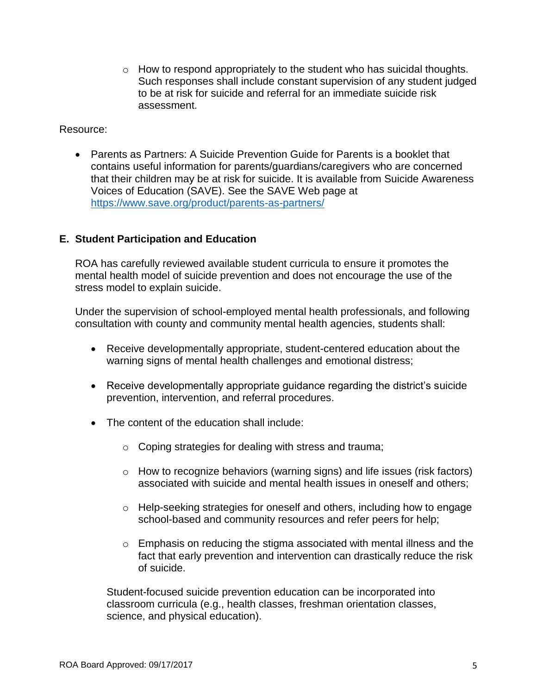$\circ$  How to respond appropriately to the student who has suicidal thoughts. Such responses shall include constant supervision of any student judged to be at risk for suicide and referral for an immediate suicide risk assessment.

#### Resource:

 Parents as Partners: A Suicide Prevention Guide for Parents is a booklet that contains useful information for parents/guardians/caregivers who are concerned that their children may be at risk for suicide. It is available from Suicide Awareness Voices of Education (SAVE). See the SAVE Web page at <https://www.save.org/product/parents-as-partners/>

#### **E. Student Participation and Education**

ROA has carefully reviewed available student curricula to ensure it promotes the mental health model of suicide prevention and does not encourage the use of the stress model to explain suicide.

Under the supervision of school-employed mental health professionals, and following consultation with county and community mental health agencies, students shall:

- Receive developmentally appropriate, student-centered education about the warning signs of mental health challenges and emotional distress;
- Receive developmentally appropriate guidance regarding the district's suicide prevention, intervention, and referral procedures.
- The content of the education shall include:
	- o Coping strategies for dealing with stress and trauma;
	- o How to recognize behaviors (warning signs) and life issues (risk factors) associated with suicide and mental health issues in oneself and others;
	- o Help-seeking strategies for oneself and others, including how to engage school-based and community resources and refer peers for help;
	- o Emphasis on reducing the stigma associated with mental illness and the fact that early prevention and intervention can drastically reduce the risk of suicide.

Student-focused suicide prevention education can be incorporated into classroom curricula (e.g., health classes, freshman orientation classes, science, and physical education).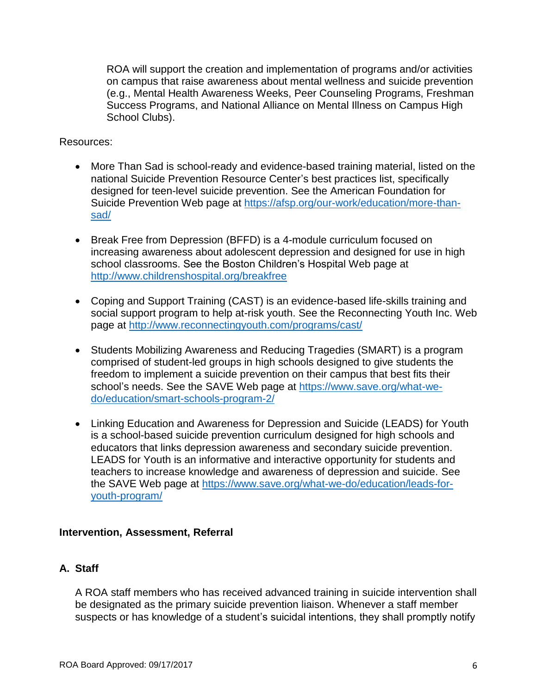ROA will support the creation and implementation of programs and/or activities on campus that raise awareness about mental wellness and suicide prevention (e.g., Mental Health Awareness Weeks, Peer Counseling Programs, Freshman Success Programs, and National Alliance on Mental Illness on Campus High School Clubs).

#### Resources:

- More Than Sad is school-ready and evidence-based training material, listed on the national Suicide Prevention Resource Center's best practices list, specifically designed for teen-level suicide prevention. See the American Foundation for Suicide Prevention Web page at [https://afsp.org/our-work/education/more-than](https://afsp.org/our-work/education/more-than-sad/)[sad/](https://afsp.org/our-work/education/more-than-sad/)
- Break Free from Depression (BFFD) is a 4-module curriculum focused on increasing awareness about adolescent depression and designed for use in high school classrooms. See the Boston Children's Hospital Web page at <http://www.childrenshospital.org/breakfree>
- Coping and Support Training (CAST) is an evidence-based life-skills training and social support program to help at-risk youth. See the Reconnecting Youth Inc. Web page at<http://www.reconnectingyouth.com/programs/cast/>
- Students Mobilizing Awareness and Reducing Tragedies (SMART) is a program comprised of student-led groups in high schools designed to give students the freedom to implement a suicide prevention on their campus that best fits their school's needs. See the SAVE Web page at [https://www.save.org/what-we](https://www.save.org/what-we-do/education/smart-schools-program-2/)[do/education/smart-schools-program-2/](https://www.save.org/what-we-do/education/smart-schools-program-2/)
- Linking Education and Awareness for Depression and Suicide (LEADS) for Youth is a school-based suicide prevention curriculum designed for high schools and educators that links depression awareness and secondary suicide prevention. LEADS for Youth is an informative and interactive opportunity for students and teachers to increase knowledge and awareness of depression and suicide. See the SAVE Web page at [https://www.save.org/what-we-do/education/leads-for](https://www.save.org/what-we-do/education/leads-for-youth-program/)[youth-program/](https://www.save.org/what-we-do/education/leads-for-youth-program/)

#### **Intervention, Assessment, Referral**

#### **A. Staff**

A ROA staff members who has received advanced training in suicide intervention shall be designated as the primary suicide prevention liaison. Whenever a staff member suspects or has knowledge of a student's suicidal intentions, they shall promptly notify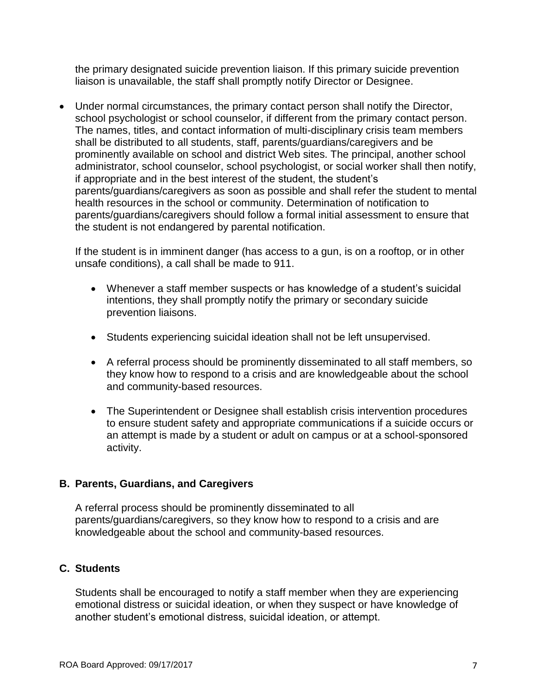the primary designated suicide prevention liaison. If this primary suicide prevention liaison is unavailable, the staff shall promptly notify Director or Designee.

 Under normal circumstances, the primary contact person shall notify the Director, school psychologist or school counselor, if different from the primary contact person. The names, titles, and contact information of multi-disciplinary crisis team members shall be distributed to all students, staff, parents/guardians/caregivers and be prominently available on school and district Web sites. The principal, another school administrator, school counselor, school psychologist, or social worker shall then notify, if appropriate and in the best interest of the student, the student's parents/guardians/caregivers as soon as possible and shall refer the student to mental health resources in the school or community. Determination of notification to parents/guardians/caregivers should follow a formal initial assessment to ensure that the student is not endangered by parental notification.

If the student is in imminent danger (has access to a gun, is on a rooftop, or in other unsafe conditions), a call shall be made to 911.

- Whenever a staff member suspects or has knowledge of a student's suicidal intentions, they shall promptly notify the primary or secondary suicide prevention liaisons.
- Students experiencing suicidal ideation shall not be left unsupervised.
- A referral process should be prominently disseminated to all staff members, so they know how to respond to a crisis and are knowledgeable about the school and community-based resources.
- The Superintendent or Designee shall establish crisis intervention procedures to ensure student safety and appropriate communications if a suicide occurs or an attempt is made by a student or adult on campus or at a school-sponsored activity.

# **B. Parents, Guardians, and Caregivers**

A referral process should be prominently disseminated to all parents/guardians/caregivers, so they know how to respond to a crisis and are knowledgeable about the school and community-based resources.

# **C. Students**

Students shall be encouraged to notify a staff member when they are experiencing emotional distress or suicidal ideation, or when they suspect or have knowledge of another student's emotional distress, suicidal ideation, or attempt.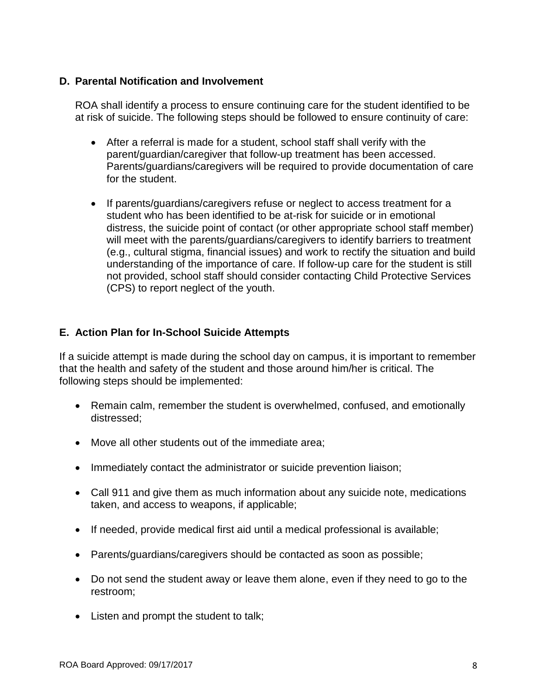### **D. Parental Notification and Involvement**

ROA shall identify a process to ensure continuing care for the student identified to be at risk of suicide. The following steps should be followed to ensure continuity of care:

- After a referral is made for a student, school staff shall verify with the parent/guardian/caregiver that follow-up treatment has been accessed. Parents/guardians/caregivers will be required to provide documentation of care for the student.
- If parents/guardians/caregivers refuse or neglect to access treatment for a student who has been identified to be at-risk for suicide or in emotional distress, the suicide point of contact (or other appropriate school staff member) will meet with the parents/guardians/caregivers to identify barriers to treatment (e.g., cultural stigma, financial issues) and work to rectify the situation and build understanding of the importance of care. If follow-up care for the student is still not provided, school staff should consider contacting Child Protective Services (CPS) to report neglect of the youth.

# **E. Action Plan for In-School Suicide Attempts**

If a suicide attempt is made during the school day on campus, it is important to remember that the health and safety of the student and those around him/her is critical. The following steps should be implemented:

- Remain calm, remember the student is overwhelmed, confused, and emotionally distressed;
- Move all other students out of the immediate area;
- Immediately contact the administrator or suicide prevention liaison;
- Call 911 and give them as much information about any suicide note, medications taken, and access to weapons, if applicable;
- If needed, provide medical first aid until a medical professional is available;
- Parents/guardians/caregivers should be contacted as soon as possible;
- Do not send the student away or leave them alone, even if they need to go to the restroom;
- Listen and prompt the student to talk;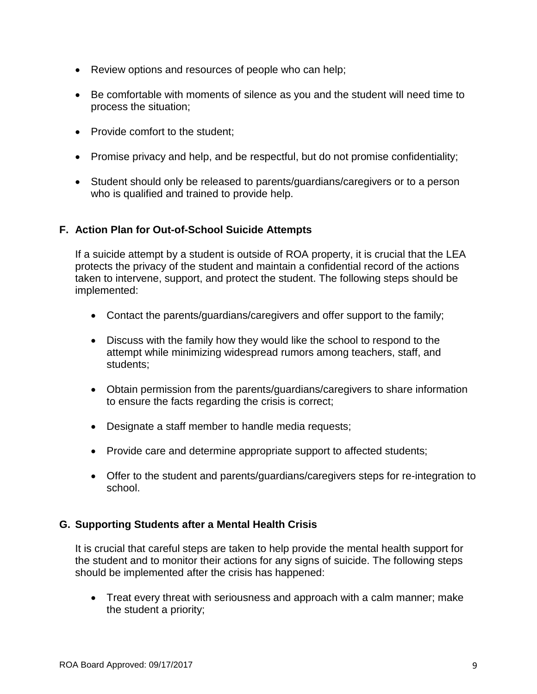- Review options and resources of people who can help;
- Be comfortable with moments of silence as you and the student will need time to process the situation;
- Provide comfort to the student:
- Promise privacy and help, and be respectful, but do not promise confidentiality;
- Student should only be released to parents/guardians/caregivers or to a person who is qualified and trained to provide help.

### **F. Action Plan for Out-of-School Suicide Attempts**

If a suicide attempt by a student is outside of ROA property, it is crucial that the LEA protects the privacy of the student and maintain a confidential record of the actions taken to intervene, support, and protect the student. The following steps should be implemented:

- Contact the parents/guardians/caregivers and offer support to the family;
- Discuss with the family how they would like the school to respond to the attempt while minimizing widespread rumors among teachers, staff, and students;
- Obtain permission from the parents/guardians/caregivers to share information to ensure the facts regarding the crisis is correct;
- Designate a staff member to handle media requests;
- Provide care and determine appropriate support to affected students;
- Offer to the student and parents/guardians/caregivers steps for re-integration to school.

# **G. Supporting Students after a Mental Health Crisis**

It is crucial that careful steps are taken to help provide the mental health support for the student and to monitor their actions for any signs of suicide. The following steps should be implemented after the crisis has happened:

 Treat every threat with seriousness and approach with a calm manner; make the student a priority;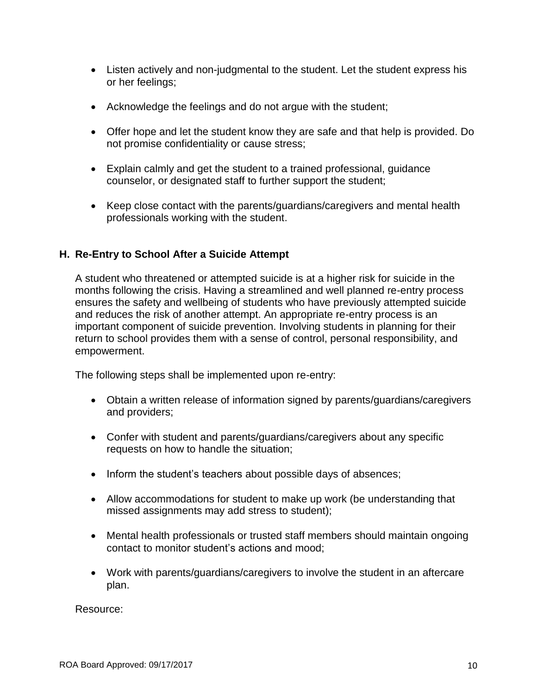- Listen actively and non-judgmental to the student. Let the student express his or her feelings;
- Acknowledge the feelings and do not argue with the student;
- Offer hope and let the student know they are safe and that help is provided. Do not promise confidentiality or cause stress;
- Explain calmly and get the student to a trained professional, guidance counselor, or designated staff to further support the student;
- Keep close contact with the parents/guardians/caregivers and mental health professionals working with the student.

### **H. Re-Entry to School After a Suicide Attempt**

A student who threatened or attempted suicide is at a higher risk for suicide in the months following the crisis. Having a streamlined and well planned re-entry process ensures the safety and wellbeing of students who have previously attempted suicide and reduces the risk of another attempt. An appropriate re-entry process is an important component of suicide prevention. Involving students in planning for their return to school provides them with a sense of control, personal responsibility, and empowerment.

The following steps shall be implemented upon re-entry:

- Obtain a written release of information signed by parents/guardians/caregivers and providers;
- Confer with student and parents/guardians/caregivers about any specific requests on how to handle the situation;
- Inform the student's teachers about possible days of absences;
- Allow accommodations for student to make up work (be understanding that missed assignments may add stress to student);
- Mental health professionals or trusted staff members should maintain ongoing contact to monitor student's actions and mood;
- Work with parents/guardians/caregivers to involve the student in an aftercare plan.

Resource: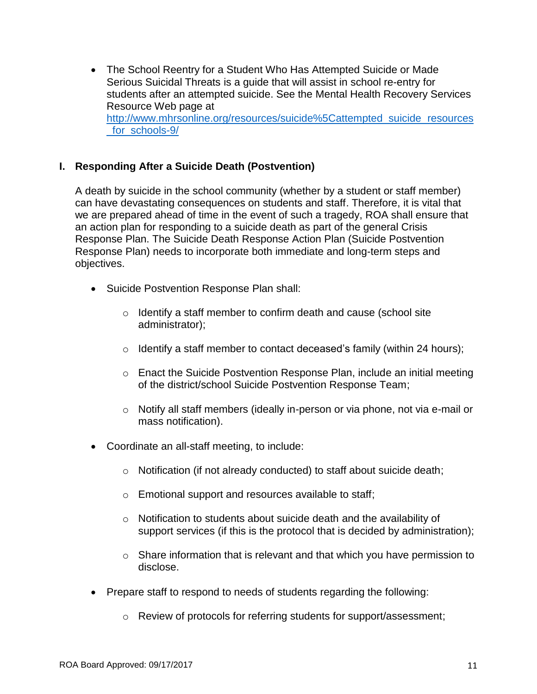The School Reentry for a Student Who Has Attempted Suicide or Made Serious Suicidal Threats is a guide that will assist in school re-entry for students after an attempted suicide. See the Mental Health Recovery Services Resource Web page at [http://www.mhrsonline.org/resources/suicide%5Cattempted\\_suicide\\_resources](http://www.mhrsonline.org/resources/suicide%5Cattempted_suicide_resources_for_schools-9/) for schools-9/

### **I. Responding After a Suicide Death (Postvention)**

A death by suicide in the school community (whether by a student or staff member) can have devastating consequences on students and staff. Therefore, it is vital that we are prepared ahead of time in the event of such a tragedy, ROA shall ensure that an action plan for responding to a suicide death as part of the general Crisis Response Plan. The Suicide Death Response Action Plan (Suicide Postvention Response Plan) needs to incorporate both immediate and long-term steps and objectives.

- Suicide Postvention Response Plan shall:
	- o Identify a staff member to confirm death and cause (school site administrator);
	- o Identify a staff member to contact deceased's family (within 24 hours);
	- $\circ$  Enact the Suicide Postvention Response Plan, include an initial meeting of the district/school Suicide Postvention Response Team;
	- o Notify all staff members (ideally in-person or via phone, not via e-mail or mass notification).
- Coordinate an all-staff meeting, to include:
	- o Notification (if not already conducted) to staff about suicide death;
	- o Emotional support and resources available to staff;
	- o Notification to students about suicide death and the availability of support services (if this is the protocol that is decided by administration);
	- $\circ$  Share information that is relevant and that which you have permission to disclose.
- Prepare staff to respond to needs of students regarding the following:
	- o Review of protocols for referring students for support/assessment;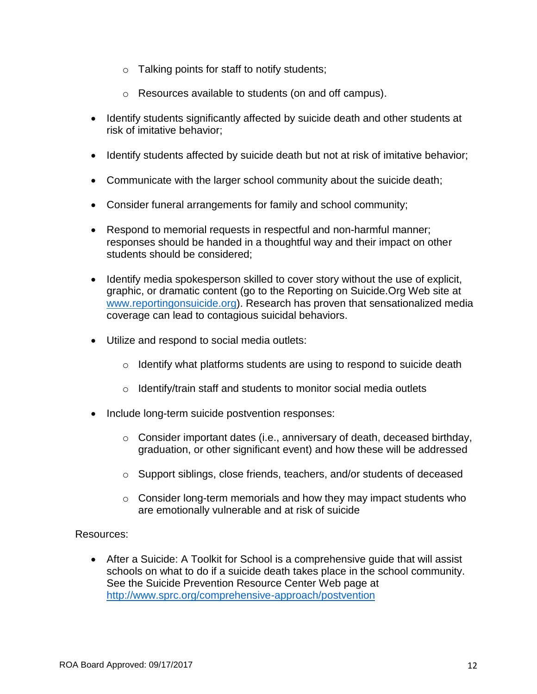- $\circ$  Talking points for staff to notify students;
- o Resources available to students (on and off campus).
- Identify students significantly affected by suicide death and other students at risk of imitative behavior;
- Identify students affected by suicide death but not at risk of imitative behavior;
- Communicate with the larger school community about the suicide death;
- Consider funeral arrangements for family and school community;
- Respond to memorial requests in respectful and non-harmful manner; responses should be handed in a thoughtful way and their impact on other students should be considered;
- Identify media spokesperson skilled to cover story without the use of explicit, graphic, or dramatic content (go to the Reporting on Suicide.Org Web site at [www.reportingonsuicide.org\)](http://www.reportingonsuicide.org/). Research has proven that sensationalized media coverage can lead to contagious suicidal behaviors.
- Utilize and respond to social media outlets:
	- $\circ$  Identify what platforms students are using to respond to suicide death
	- o Identify/train staff and students to monitor social media outlets
- Include long-term suicide postvention responses:
	- o Consider important dates (i.e., anniversary of death, deceased birthday, graduation, or other significant event) and how these will be addressed
	- o Support siblings, close friends, teachers, and/or students of deceased
	- $\circ$  Consider long-term memorials and how they may impact students who are emotionally vulnerable and at risk of suicide

Resources:

 After a Suicide: A Toolkit for School is a comprehensive guide that will assist schools on what to do if a suicide death takes place in the school community. See the Suicide Prevention Resource Center Web page at <http://www.sprc.org/comprehensive-approach/postvention>